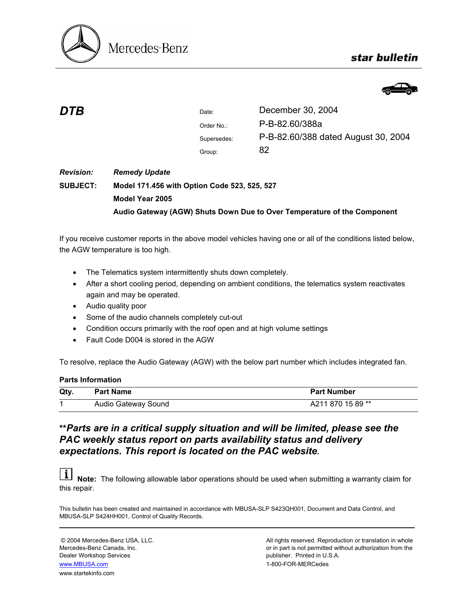

## star bulletin



| <b>DTB</b>       |                                              | Date:       | December 30, 2004                   |  |  |
|------------------|----------------------------------------------|-------------|-------------------------------------|--|--|
|                  |                                              | Order No.:  | P-B-82.60/388a                      |  |  |
|                  |                                              | Supersedes: | P-B-82.60/388 dated August 30, 2004 |  |  |
|                  |                                              | Group:      | 82                                  |  |  |
| <b>Revision:</b> | <b>Remedy Update</b>                         |             |                                     |  |  |
| <b>SUBJECT:</b>  | Model 171.456 with Option Code 523, 525, 527 |             |                                     |  |  |
|                  | Model Year 2005                              |             |                                     |  |  |

**Audio Gateway (AGW) Shuts Down Due to Over Temperature of the Component** 

If you receive customer reports in the above model vehicles having one or all of the conditions listed below, the AGW temperature is too high.

- The Telematics system intermittently shuts down completely.
- After a short cooling period, depending on ambient conditions, the telematics system reactivates again and may be operated.
- Audio quality poor
- Some of the audio channels completely cut-out
- Condition occurs primarily with the roof open and at high volume settings
- Fault Code D004 is stored in the AGW

To resolve, replace the Audio Gateway (AGW) with the below part number which includes integrated fan.

## **Parts Information**

| Qty | <b>Part Name</b>    | <b>Part Number</b> |
|-----|---------------------|--------------------|
|     | Audio Gateway Sound | A211 870 15 89 **  |

## **\*\****Parts are in a critical supply situation and will be limited, please see the PAC weekly status report on parts availability status and delivery expectations. This report is located on the PAC website.*

 $|i|$ **Note:** The following allowable labor operations should be used when submitting a warranty claim for this repair.

This bulletin has been created and maintained in accordance with MBUSA-SLP S423QH001, Document and Data Control, and MBUSA-SLP S424HH001, Control of Quality Records.

Dealer Workshop Services publisher. Printed in U.S.A. www.MBUSA.com 1-800-FOR-MERCedes

www.startekinfo.com

© 2004 Mercedes-Benz USA, LLC. All rights reserved. Reproduction or translation in whole Mercedes-Benz Canada, Inc. **or in part is not permitted without authorization from the** or in part is not permitted without authorization from the